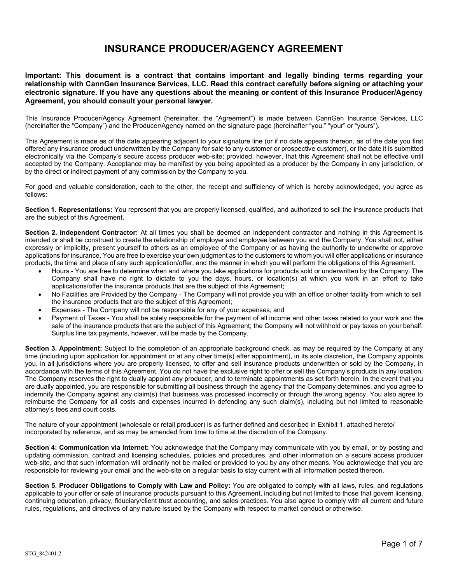## **INSURANCE PRODUCER/AGENCY AGREEMENT**

**Important: This document is a contract that contains important and legally binding terms regarding your relationship with CannGen Insurance Services, LLC. Read this contract carefully before signing or attaching your electronic signature. If you have any questions about the meaning or content of this Insurance Producer/Agency Agreement, you should consult your personal lawyer.**

This Insurance Producer/Agency Agreement (hereinafter, the "Agreement") is made between CannGen Insurance Services, LLC (hereinafter the "Company") and the Producer/Agency named on the signature page (hereinafter "you," "your" or "yours").

This Agreement is made as of the date appearing adjacent to your signature line (or if no date appears thereon, as of the date you first offered any insurance product underwritten by the Company for sale to any customer or prospective customer), or the date it is submitted electronically via the Company's secure access producer web-site; provided, however, that this Agreement shall not be effective until accepted by the Company. Acceptance may be manifest by you being appointed as a producer by the Company in any jurisdiction, or by the direct or indirect payment of any commission by the Company to you.

For good and valuable consideration, each to the other, the receipt and sufficiency of which is hereby acknowledged, you agree as follows:

**Section 1. Representations:** You represent that you are properly licensed, qualified, and authorized to sell the insurance products that are the subject of this Agreement.

**Section 2. Independent Contractor:** At all times you shall be deemed an independent contractor and nothing in this Agreement is intended or shall be construed to create the relationship of employer and employee between you and the Company. You shall not, either expressly or implicitly, present yourself to others as an employee of the Company or as having the authority to underwrite or approve applications for insurance. You are free to exercise your own judgment as to the customers to whom you will offer applications or insurance products, the time and place of any such application/offer, and the manner in which you will perform the obligations of this Agreement.

- Hours You are free to determine when and where you take applications for products sold or underwritten by the Company. The Company shall have no right to dictate to you the days, hours, or location(s) at which you work in an effort to take applications/offer the insurance products that are the subject of this Agreement;
- No Facilities are Provided by the Company The Company will not provide you with an office or other facility from which to sell the insurance products that are the subject of this Agreement;
- Expenses The Company will not be responsible for any of your expenses; and
- Payment of Taxes You shall be solely responsible for the payment of all income and other taxes related to your work and the sale of the insurance products that are the subject of this Agreement; the Company will not withhold or pay taxes on your behalf. Surplus line tax payments, however, will be made by the Company.

**Section 3. Appointment:** Subject to the completion of an appropriate background check, as may be required by the Company at any time (including upon application for appointment or at any other time(s) after appointment), in its sole discretion, the Company appoints you, in all jurisdictions where you are properly licensed, to offer and sell insurance products underwritten or sold by the Company, in accordance with the terms of this Agreement. You do not have the exclusive right to offer or sell the Company's products in any location. The Company reserves the right to dually appoint any producer, and to terminate appointments as set forth herein. In the event that you are dually appointed, you are responsible for submitting all business through the agency that the Company determines, and you agree to indemnify the Company against any claim(s) that business was processed incorrectly or through the wrong agency. You also agree to reimburse the Company for all costs and expenses incurred in defending any such claim(s), including but not limited to reasonable attorney's fees and court costs.

The nature of your appointment (wholesale or retail producer) is as further defined and described in Exhibit 1, attached hereto/ incorporated by reference, and as may be amended from time to time at the discretion of the Company.

**Section 4: Communication via Internet:** You acknowledge that the Company may communicate with you by email, or by posting and updating commission, contract and licensing schedules, policies and procedures, and other information on a secure access producer web-site, and that such information will ordinarily not be mailed or provided to you by any other means. You acknowledge that you are responsible for reviewing your email and the web-site on a regular basis to stay current with all information posted thereon.

**Section 5. Producer Obligations to Comply with Law and Policy:** You are obligated to comply with all laws, rules, and regulations applicable to your offer or sale of insurance products pursuant to this Agreement, including but not limited to those that govern licensing, continuing education, privacy, fiduciary/client trust accounting, and sales practices. You also agree to comply with all current and future rules, regulations, and directives of any nature issued by the Company with respect to market conduct or otherwise.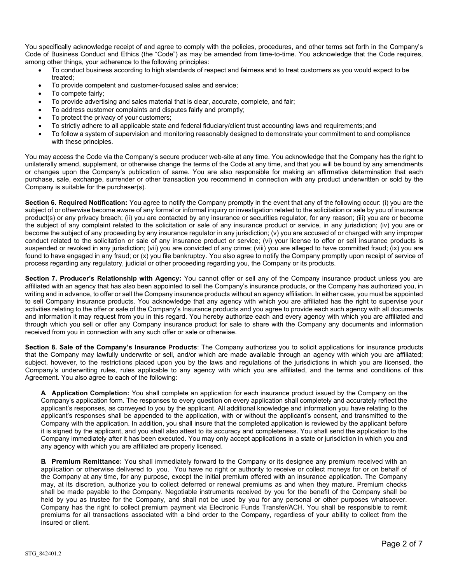You specifically acknowledge receipt of and agree to comply with the policies, procedures, and other terms set forth in the Company's Code of Business Conduct and Ethics (the "Code") as may be amended from time-to-time. You acknowledge that the Code requires, among other things, your adherence to the following principles:

- To conduct business according to high standards of respect and fairness and to treat customers as you would expect to be treated;
- To provide competent and customer-focused sales and service;
- To compete fairly;
- To provide advertising and sales material that is clear, accurate, complete, and fair;
- To address customer complaints and disputes fairly and promptly;
- To protect the privacy of your customers;
- To strictly adhere to all applicable state and federal fiduciary/client trust accounting laws and requirements; and
- To follow a system of supervision and monitoring reasonably designed to demonstrate your commitment to and compliance with these principles.

You may access the Code via the Company's secure producer web-site at any time. You acknowledge that the Company has the right to unilaterally amend, supplement, or otherwise change the terms of the Code at any time, and that you will be bound by any amendments or changes upon the Company's publication of same. You are also responsible for making an affirmative determination that each purchase, sale, exchange, surrender or other transaction you recommend in connection with any product underwritten or sold by the Company is suitable for the purchaser(s).

**Section 6. Required Notification:** You agree to notify the Company promptly in the event that any of the following occur: (i) you are the subject of or otherwise become aware of any formal or informal inquiry or investigation related to the solicitation or sale by you of insurance product(s) or any privacy breach; (ii) you are contacted by any insurance or securities regulator, for any reason; (iii) you are or become the subject of any complaint related to the solicitation or sale of any insurance product or service, in any jurisdiction; (iv) you are or become the subject of any proceeding by any insurance regulator in any jurisdiction; (v) you are accused of or charged with any improper conduct related to the solicitation or sale of any insurance product or service; (vi) your license to offer or sell insurance products is suspended or revoked in any jurisdiction; (vii) you are convicted of any crime; (viii) you are alleged to have committed fraud; (ix) you are found to have engaged in any fraud; or (x) you file bankruptcy. You also agree to notify the Company promptly upon receipt of service of process regarding any regulatory, judicial or other proceeding regarding you, the Company or its products.

**Section 7. Producer's Relationship with Agency:** You cannot offer or sell any of the Company insurance product unless you are affiliated with an agency that has also been appointed to sell the Company's insurance products, or the Company has authorized you, in writing and in advance, to offer or sell the Company insurance products without an agency affiliation. In either case, you must be appointed to sell Company insurance products. You acknowledge that any agency with which you are affiliated has the right to supervise your activities relating to the offer or sale of the Company's Insurance products and you agree to provide each such agency with all documents and information it may request from you in this regard. You hereby authorize each and every agency with which you are affiliated and through which you sell or offer any Company insurance product for sale to share with the Company any documents and information received from you in connection with any such offer or sale or otherwise.

**Section 8. Sale of the Company's Insurance Products**: The Company authorizes you to solicit applications for insurance products that the Company may lawfully underwrite or sell, and/or which are made available through an agency with which you are affiliated; subject, however, to the restrictions placed upon you by the laws and regulations of the jurisdictions in which you are licensed, the Company's underwriting rules, rules applicable to any agency with which you are affiliated, and the terms and conditions of this Agreement. You also agree to each of the following:

**A. Application Completion:** You shall complete an application for each insurance product issued by the Company on the Company's application form. The responses to every question on every application shall completely and accurately reflect the applicant's responses, as conveyed to you by the applicant. All additional knowledge and information you have relating to the applicant's responses shall be appended to the application, with or without the applicant's consent, and transmitted to the Company with the application. In addition, you shall insure that the completed application is reviewed by the applicant before it is signed by the applicant, and you shall also attest to its accuracy and completeness. You shall send the application to the Company immediately after it has been executed. You may only accept applications in a state or jurisdiction in which you and any agency with which you are affiliated are properly licensed.

**B. Premium Remittance:** You shall immediately forward to the Company or its designee any premium received with an application or otherwise delivered to you. You have no right or authority to receive or collect moneys for or on behalf of the Company at any time, for any purpose, except the initial premium offered with an insurance application. The Company may, at its discretion, authorize you to collect deferred or renewal premiums as and when they mature. Premium checks shall be made payable to the Company. Negotiable instruments received by you for the benefit of the Company shall be held by you as trustee for the Company, and shall not be used by you for any personal or other purposes whatsoever. Company has the right to collect premium payment via Electronic Funds Transfer/ACH. You shall be responsible to remit premiums for all transactions associated with a bind order to the Company, regardless of your ability to collect from the insured or client.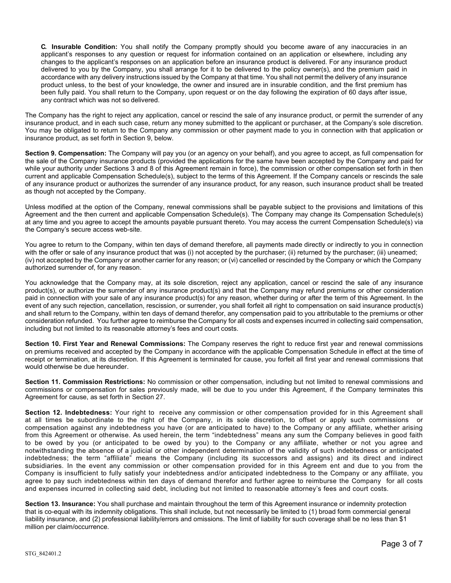**C. Insurable Condition:** You shall notify the Company promptly should you become aware of any inaccuracies in an applicant's responses to any question or request for information contained on an application or elsewhere, including any changes to the applicant's responses on an application before an insurance product is delivered. For any insurance product delivered to you by the Company, you shall arrange for it to be delivered to the policy owner(s), and the premium paid in accordance with any delivery instructions issued by the Company at that time. You shall not permit the delivery of any insurance product unless, to the best of your knowledge, the owner and insured are in insurable condition, and the first premium has been fully paid. You shall return to the Company, upon request or on the day following the expiration of 60 days after issue, any contract which was not so delivered.

The Company has the right to reject any application, cancel or rescind the sale of any insurance product, or permit the surrender of any insurance product, and in each such case, return any money submitted to the applicant or purchaser, at the Company's sole discretion. You may be obligated to return to the Company any commission or other payment made to you in connection with that application or insurance product, as set forth in Section 9, below.

**Section 9. Compensation:** The Company will pay you (or an agency on your behalf), and you agree to accept, as full compensation for the sale of the Company insurance products (provided the applications for the same have been accepted by the Company and paid for while your authority under Sections 3 and 8 of this Agreement remain in force), the commission or other compensation set forth in then current and applicable Compensation Schedule(s), subject to the terms of this Agreement. If the Company cancels or rescinds the sale of any insurance product or authorizes the surrender of any insurance product, for any reason, such insurance product shall be treated as though not accepted by the Company.

Unless modified at the option of the Company, renewal commissions shall be payable subject to the provisions and limitations of this Agreement and the then current and applicable Compensation Schedule(s). The Company may change its Compensation Schedule(s) at any time and you agree to accept the amounts payable pursuant thereto. You may access the current Compensation Schedule(s) via the Company's secure access web-site.

You agree to return to the Company, within ten days of demand therefore, all payments made directly or indirectly to you in connection with the offer or sale of any insurance product that was (i) not accepted by the purchaser; (ii) returned by the purchaser; (iii) unearned; (iv) not accepted by the Company or another carrier for any reason; or (vi) cancelled or rescinded by the Company or which the Company authorized surrender of, for any reason.

You acknowledge that the Company may, at its sole discretion, reject any application, cancel or rescind the sale of any insurance product(s), or authorize the surrender of any insurance product(s) and that the Company may refund premiums or other consideration paid in connection with your sale of any insurance product(s) for any reason, whether during or after the term of this Agreement. In the event of any such rejection, cancellation, rescission, or surrender, you shall forfeit all right to compensation on said insurance product(s) and shall return to the Company, within ten days of demand therefor, any compensation paid to you attributable to the premiums or other consideration refunded. You further agree to reimburse the Company for all costs and expenses incurred in collecting said compensation, including but not limited to its reasonable attorney's fees and court costs.

**Section 10. First Year and Renewal Commissions:** The Company reserves the right to reduce first year and renewal commissions on premiums received and accepted by the Company in accordance with the applicable Compensation Schedule in effect at the time of receipt or termination, at its discretion. If this Agreement is terminated for cause, you forfeit all first year and renewal commissions that would otherwise be due hereunder.

**Section 11. Commission Restrictions:** No commission or other compensation, including but not limited to renewal commissions and commissions or compensation for sales previously made, will be due to you under this Agreement, if the Company terminates this Agreement for cause, as set forth in Section 27.

**Section 12. Indebtedness:** Your right to receive any commission or other compensation provided for in this Agreement shall at all times be subordinate to the right of the Company, in its sole discretion, to offset or apply such commissions or compensation against any indebtedness you have (or are anticipated to have) to the Company or any affiliate, whether arising from this Agreement or otherwise. As used herein, the term "indebtedness" means any sum the Company believes in good faith to be owed by you (or anticipated to be owed by you) to the Company or any affiliate, whether or not you agree and notwithstanding the absence of a judicial or other independent determination of the validity of such indebtedness or anticipated indebtedness; the term "affiliate" means the Company (including its successors and assigns) and its direct and indirect subsidiaries. In the event any commission or other compensation provided for in this Agreem ent and due to you from the Company is insufficient to fully satisfy your indebtedness and/or anticipated indebtedness to the Company or any affiliate, you agree to pay such indebtedness within ten days of demand therefor and further agree to reimburse the Company for all costs and expenses incurred in collecting said debt, including but not limited to reasonable attorney's fees and court costs.

**Section 13. Insurance:** You shall purchase and maintain throughout the term of this Agreement insurance or indemnity protection that is co-equal with its indemnity obligations. This shall include, but not necessarily be limited to (1) broad form commercial general liability insurance, and (2) professional liability/errors and omissions. The limit of liability for such coverage shall be no less than \$1 million per claim/occurrence.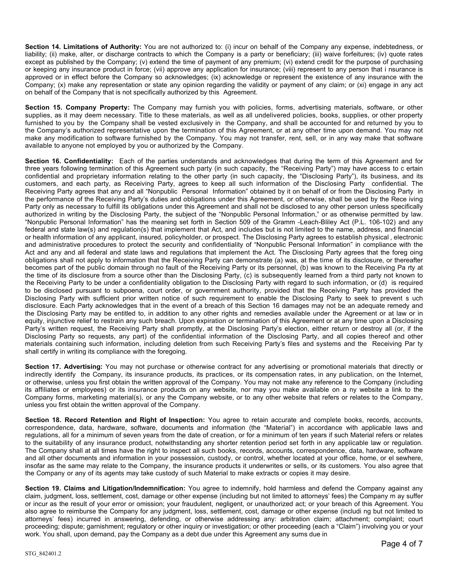**Section 14. Limitations of Authority:** You are not authorized to: (i) incur on behalf of the Company any expense, indebtedness, or liability; (ii) make, alter, or discharge contracts to which the Company is a party or beneficiary; (iii) waive forfeitures; (iv) quote rates except as published by the Company; (v) extend the time of payment of any premium; (vi) extend credit for the purpose of purchasing or keeping any insurance product in force; (vii) approve any application for insurance; (viii) represent to any person that i nsurance is approved or in effect before the Company so acknowledges; (ix) acknowledge or represent the existence of any insurance with the Company; (x) make any representation or state any opinion regarding the validity or payment of any claim; or (xi) engage in any act on behalf of the Company that is not specifically authorized by this Agreement.

**Section 15. Company Property:** The Company may furnish you with policies, forms, advertising materials, software, or other supplies, as it may deem necessary. Title to these materials, as well as all undelivered policies, books, supplies, or other property furnished to you by the Company shall be vested exclusively in the Company, and shall be accounted for and returned by you to the Company's authorized representative upon the termination of this Agreement, or at any other time upon demand. You may not make any modification to software furnished by the Company. You may not transfer, rent, sell, or in any way make that software available to anyone not employed by you or authorized by the Company.

**Section 16. Confidentiality:** Each of the parties understands and acknowledges that during the term of this Agreement and for three years following termination of this Agreement such party (in such capacity, the "Receiving Party") may have access to c ertain confidential and proprietary information relating to the other party (in such capacity, the "Disclosing Party"), its business, and its customers, and each party, as Receiving Party, agrees to keep all such information of the Disclosing Party confidential. The Receiving Party agrees that any and all "Nonpublic Personal Information" obtained by it on behalf of or from the Disclosing Party in the performance of the Receiving Party's duties and obligations under this Agreement, or otherwise, shall be used by the Rece iving Party only as necessary to fulfill its obligations under this Agreement and shall not be disclosed to any other person unless specifically authorized in writing by the Disclosing Party, the subject of the "Nonpublic Personal Information," or as otherwise permitted by law. "Nonpublic Personal Information" has the meaning set forth in Section 509 of the Gramm -Leach-Bliley Act (P.L. 106-102) and any federal and state law(s) and regulation(s) that implement that Act, and includes but is not limited to the name, address, and financial or health information of any applicant, insured, policyholder, or prospect. The Disclosing Party agrees to establish physical , electronic and administrative procedures to protect the security and confidentiality of "Nonpublic Personal Information" in compliance with the Act and any and all federal and state laws and regulations that implement the Act. The Disclosing Party agrees that the foreg oing obligations shall not apply to information that the Receiving Party can demonstrate (a) was, at the time of its disclosure, or thereafter becomes part of the public domain through no fault of the Receiving Party or its personnel, (b) was known to the Receiving Pa rty at the time of its disclosure from a source other than the Disclosing Party, (c) is subsequently learned from a third party not known to the Receiving Party to be under a confidentiality obligation to the Disclosing Party with regard to such information, or (d) is required to be disclosed pursuant to subpoena, court order, or government authority, provided that the Receiving Party has provided the Disclosing Party with sufficient prior written notice of such requirement to enable the Disclosing Party to seek to prevent s uch disclosure. Each Party acknowledges that in the event of a breach of this Section 16 damages may not be an adequate remedy and the Disclosing Party may be entitled to, in addition to any other rights and remedies available under the Agreement or at law or in equity, injunctive relief to restrain any such breach. Upon expiration or termination of this Agreement or at any time upon a Disclosing Party's written request, the Receiving Party shall promptly, at the Disclosing Party's election, either return or destroy all (or, if the Disclosing Party so requests, any part) of the confidential information of the Disclosing Party, and all copies thereof and other materials containing such information, including deletion from such Receiving Party's files and systems and the Receiving Par ty shall certify in writing its compliance with the foregoing.

**Section 17. Advertising:** You may not purchase or otherwise contract for any advertising or promotional materials that directly or indirectly identify the Company, its insurance products, its practices, or its compensation rates, in any publication, on the Internet, or otherwise, unless you first obtain the written approval of the Company. You may not make any reference to the Company (including its affiliates or employees) or its insurance products on any website, nor may you make available on a ny website a link to the Company forms, marketing material(s), or any the Company website, or to any other website that refers or relates to the Company, unless you first obtain the written approval of the Company.

**Section 18. Record Retention and Right of Inspection:** You agree to retain accurate and complete books, records, accounts, correspondence, data, hardware, software, documents and information (the "Material") in accordance with applicable laws and regulations, all for a minimum of seven years from the date of creation, or for a minimum of ten years if such Material refers or relates to the suitability of any insurance product, notwithstanding any shorter retention period set forth in any applicable law or regulation. The Company shall at all times have the right to inspect all such books, records, accounts, correspondence, data, hardware, software and all other documents and information in your possession, custody, or control, whether located at your office, home, or el sewhere, insofar as the same may relate to the Company, the insurance products it underwrites or sells, or its customers. You also agree that the Company or any of its agents may take custody of such Material to make extracts or copies it may desire.

**Section 19. Claims and Litigation/Indemnification:** You agree to indemnify, hold harmless and defend the Company against any claim, judgment, loss, settlement, cost, damage or other expense (including but not limited to attorneys' fees) the Company m ay suffer or incur as the result of your error or omission; your fraudulent, negligent, or unauthorized act; or your breach of this Agreement. You also agree to reimburse the Company for any judgment, loss, settlement, cost, damage or other expense (includi ng but not limited to attorneys' fees) incurred in answering, defending, or otherwise addressing any: arbitration claim; attachment; complaint; court proceeding; dispute; garnishment; regulatory or other inquiry or investigation; or other proceeding (each a "Claim") involving you or your work. You shall, upon demand, pay the Company as a debt due under this Agreement any sums due in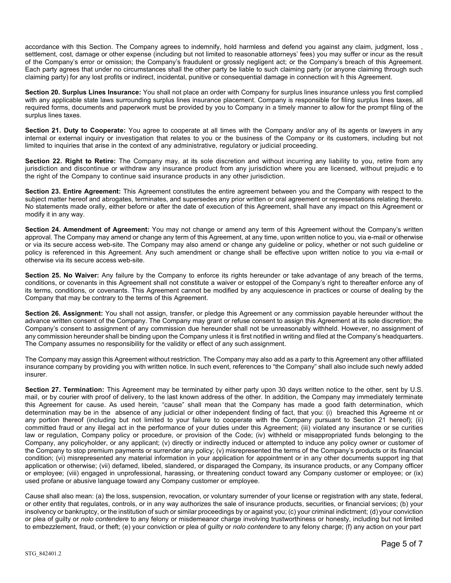accordance with this Section. The Company agrees to indemnify, hold harmless and defend you against any claim, judgment, loss , settlement, cost, damage or other expense (including but not limited to reasonable attorneys' fees) you may suffer or incur as the result of the Company's error or omission; the Company's fraudulent or grossly negligent act; or the Company's breach of this Agreement. Each party agrees that under no circumstances shall the other party be liable to such claiming party (or anyone claiming through such claiming party) for any lost profits or indirect, incidental, punitive or consequential damage in connection wit h this Agreement.

**Section 20. Surplus Lines Insurance:** You shall not place an order with Company for surplus lines insurance unless you first complied with any applicable state laws surrounding surplus lines insurance placement. Company is responsible for filing surplus lines taxes, all required forms, documents and paperwork must be provided by you to Company in a timely manner to allow for the prompt filing of the surplus lines taxes.

**Section 21. Duty to Cooperate:** You agree to cooperate at all times with the Company and/or any of its agents or lawyers in any internal or external inquiry or investigation that relates to you or the business of the Company or its customers, including but not limited to inquiries that arise in the context of any administrative, regulatory or judicial proceeding.

**Section 22. Right to Retire:** The Company may, at its sole discretion and without incurring any liability to you, retire from any jurisdiction and discontinue or withdraw any insurance product from any jurisdiction where you are licensed, without prejudic e to the right of the Company to continue said insurance products in any other jurisdiction.

**Section 23. Entire Agreement:** This Agreement constitutes the entire agreement between you and the Company with respect to the subject matter hereof and abrogates, terminates, and supersedes any prior written or oral agreement or representations relating thereto. No statements made orally, either before or after the date of execution of this Agreement, shall have any impact on this Agreement or modify it in any way.

**Section 24. Amendment of Agreement:** You may not change or amend any term of this Agreement without the Company's written approval. The Company may amend or change any term of this Agreement, at any time, upon written notice to you, via e-mail or otherwise or via its secure access web-site. The Company may also amend or change any guideline or policy, whether or not such guideline or policy is referenced in this Agreement. Any such amendment or change shall be effective upon written notice to you via e-mail or otherwise via its secure access web-site.

**Section 25. No Waiver:** Any failure by the Company to enforce its rights hereunder or take advantage of any breach of the terms, conditions, or covenants in this Agreement shall not constitute a waiver or estoppel of the Company's right to thereafter enforce any of its terms, conditions, or covenants. This Agreement cannot be modified by any acquiescence in practices or course of dealing by the Company that may be contrary to the terms of this Agreement.

**Section 26. Assignment:** You shall not assign, transfer, or pledge this Agreement or any commission payable hereunder without the advance written consent of the Company. The Company may grant or refuse consent to assign this Agreement at its sole discretion; the Company's consent to assignment of any commission due hereunder shall not be unreasonably withheld. However, no assignment of any commission hereunder shall be binding upon the Company unless it is first notified in writing and filed at the Company's headquarters. The Company assumes no responsibility for the validity or effect of any such assignment.

The Company may assign this Agreement without restriction. The Company may also add as a party to this Agreement any other affiliated insurance company by providing you with written notice. In such event, references to "the Company" shall also include such newly added insurer.

**Section 27. Termination:** This Agreement may be terminated by either party upon 30 days written notice to the other, sent by U.S. mail, or by courier with proof of delivery, to the last known address of the other. In addition, the Company may immediately terminate this Agreement for cause. As used herein, "cause" shall mean that the Company has made a good faith determination, which determination may be in the absence of any judicial or other independent finding of fact, that you: (i) breached this Agreeme nt or any portion thereof (including but not limited to your failure to cooperate with the Company pursuant to Section 21 hereof); (ii) committed fraud or any illegal act in the performance of your duties under this Agreement; (iii) violated any insurance or se curities law or regulation, Company policy or procedure, or provision of the Code; (iv) withheld or misappropriated funds belonging to the Company, any policyholder, or any applicant; (v) directly or indirectly induced or attempted to induce any policy owner or customer of the Company to stop premium payments or surrender any policy; (v) misrepresented the terms of the Company's products or its financial condition; (vi) misrepresented any material information in your application for appointment or in any other documents support ing that application or otherwise; (vii) defamed, libeled, slandered, or disparaged the Company, its insurance products, or any Company officer or employee; (viii) engaged in unprofessional, harassing, or threatening conduct toward any Company customer or employee; or (ix) used profane or abusive language toward any Company customer or employee.

Cause shall also mean: (a) the loss, suspension, revocation, or voluntary surrender of your license or registration with any state, federal, or other entity that regulates, controls, or in any way authorizes the sale of insurance products, securities, or financial services; (b) your insolvency or bankruptcy, or the institution of such or similar proceedings by or against you; (c) your criminal indictment; (d) your conviction or plea of guilty or *nolo contendere* to any felony or misdemeanor charge involving trustworthiness or honesty, including but not limited to embezzlement, fraud, or theft; (e) your conviction or plea of guilty or *nolo contendere* to any felony charge; (f) any action on your part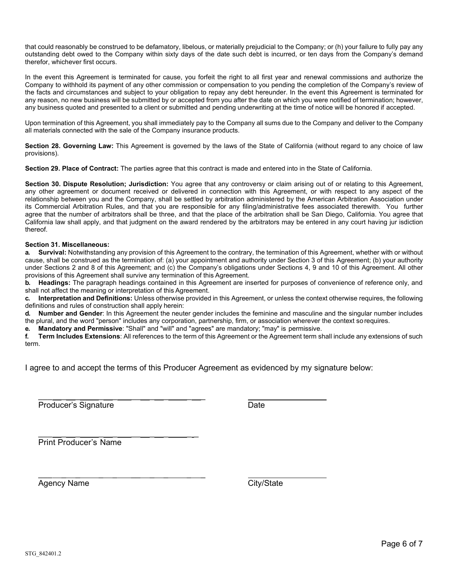that could reasonably be construed to be defamatory, libelous, or materially prejudicial to the Company; or (h) your failure to fully pay any outstanding debt owed to the Company within sixty days of the date such debt is incurred, or ten days from the Company's demand therefor, whichever first occurs.

In the event this Agreement is terminated for cause, you forfeit the right to all first year and renewal commissions and authorize the Company to withhold its payment of any other commission or compensation to you pending the completion of the Company's review of the facts and circumstances and subject to your obligation to repay any debt hereunder. In the event this Agreement is terminated for any reason, no new business will be submitted by or accepted from you after the date on which you were notified of termination; however, any business quoted and presented to a client or submitted and pending underwriting at the time of notice will be honored if accepted.

Upon termination of this Agreement, you shall immediately pay to the Company all sums due to the Company and deliver to the Company all materials connected with the sale of the Company insurance products.

**Section 28. Governing Law:** This Agreement is governed by the laws of the State of California (without regard to any choice of law provisions).

**Section 29. Place of Contract:** The parties agree that this contract is made and entered into in the State of California.

**Section 30. Dispute Resolution; Jurisdiction:** You agree that any controversy or claim arising out of or relating to this Agreement, any other agreement or document received or delivered in connection with this Agreement, or with respect to any aspect of the relationship between you and the Company, shall be settled by arbitration administered by the American Arbitration Association under its Commercial Arbitration Rules, and that you are responsible for any filing/administrative fees associated therewith. You further agree that the number of arbitrators shall be three, and that the place of the arbitration shall be San Diego, California. You agree that California law shall apply, and that judgment on the award rendered by the arbitrators may be entered in any court having jur isdiction thereof.

## **Section 31. Miscellaneous:**

**a. Survival:** Notwithstanding any provision of this Agreement to the contrary, the termination of this Agreement, whether with or without cause, shall be construed as the termination of: (a) your appointment and authority under Section 3 of this Agreement; (b) your authority under Sections 2 and 8 of this Agreement; and (c) the Company's obligations under Sections 4, 9 and 10 of this Agreement. All other provisions of this Agreement shall survive any termination of this Agreement.

**b. Headings:** The paragraph headings contained in this Agreement are inserted for purposes of convenience of reference only, and shall not affect the meaning or interpretation of this Agreement.

**c. Interpretation and Definitions:** Unless otherwise provided in this Agreement, or unless the context otherwise requires, the following definitions and rules of construction shall apply herein:

**d. Number and Gender**: In this Agreement the neuter gender includes the feminine and masculine and the singular number includes the plural, and the word "person" includes any corporation, partnership, firm, or association wherever the context sorequires.

**e. Mandatory and Permissive**: "Shall" and "will" and "agrees" are mandatory; "may" is permissive.

**f. Term Includes Extensions**: All references to the term of this Agreement or the Agreement term shall include any extensions of such term.

I agree to and accept the terms of this Producer Agreement as evidenced by my signature below:

Producer's Signature **Date** Date

\_\_\_ \_ \_ \_ \_ \_\_ \_ \_ \_ \_

 $\frac{1}{2}$  ,  $\frac{1}{2}$  ,  $\frac{1}{2}$  ,  $\frac{1}{2}$  ,  $\frac{1}{2}$  ,  $\frac{1}{2}$  ,  $\frac{1}{2}$  ,  $\frac{1}{2}$  ,  $\frac{1}{2}$  ,  $\frac{1}{2}$  ,  $\frac{1}{2}$  ,  $\frac{1}{2}$  ,  $\frac{1}{2}$  ,  $\frac{1}{2}$  ,  $\frac{1}{2}$  ,  $\frac{1}{2}$  ,  $\frac{1}{2}$  ,  $\frac{1}{2}$  ,  $\frac{1$ Print Producer's Name

\_\_\_ \_ \_ \_ \_ \_\_ \_ \_ \_ \_ Agency Name City/State